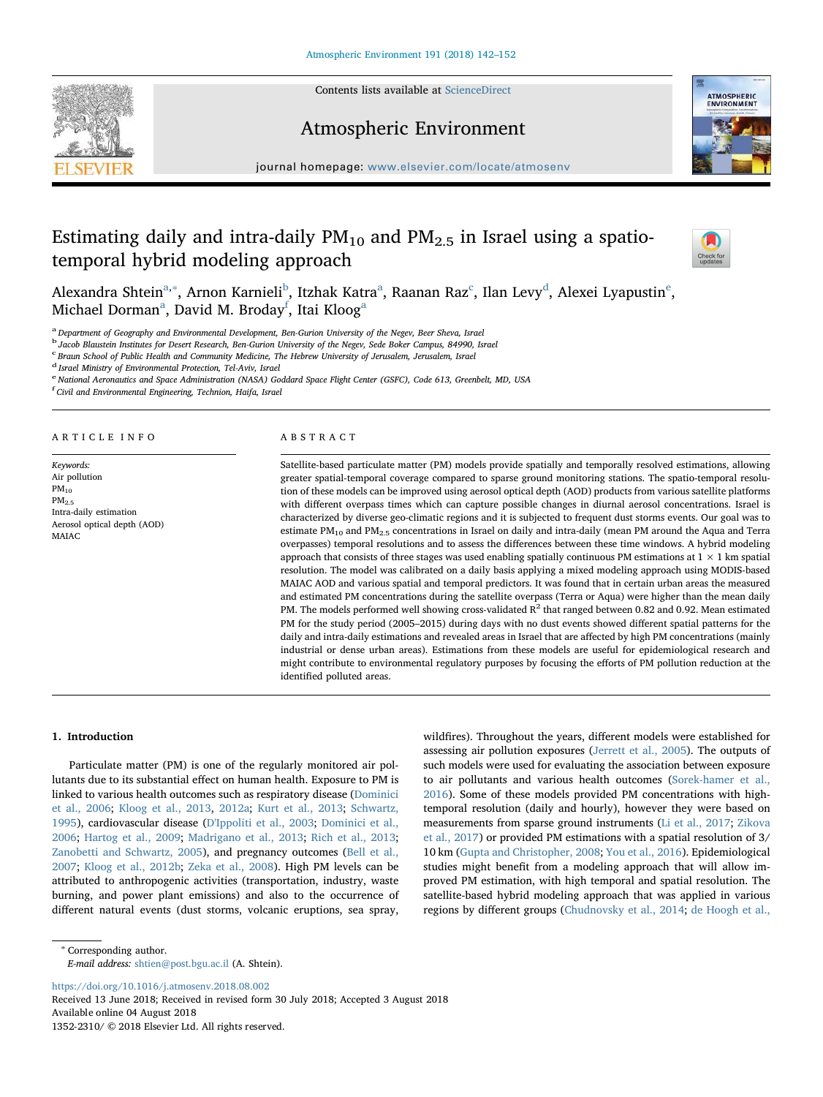

# Atmospheric Environment



journal homepage: [www.elsevier.com/locate/atmosenv](https://www.elsevier.com/locate/atmosenv)

# Estimating daily and intra-daily  $PM_{10}$  and  $PM_{2.5}$  in Israel using a spatiotemporal hybrid modeling approach



Alexandra Shtein<sup>a,</sup>\*, Arnon Karnieli<sup>b</sup>, Itzhak Katra<sup>a</sup>, Raa[na](#page-0-0)n R[a](#page-0-0)z<sup>c</sup>, Ilan Levy<sup>[d](#page-0-4)</sup>, Al[e](#page-0-5)xei Lyapustin<sup>e</sup>, Mich[a](#page-0-0)el Dorman $^{\rm a}$ , David M. Broday $^{\rm f}$  $^{\rm f}$  $^{\rm f}$ , Itai Kloog $^{\rm a}$ 

<span id="page-0-0"></span><sup>a</sup> Department of Geography and Environmental Development, Ben-Gurion University of the Negev, Beer Sheva, Israel

<span id="page-0-2"></span><sup>b</sup> Jacob Blaustein Institutes for Desert Research, Ben-Gurion University of the Negev, Sede Boker Campus, 84990, Israel

<span id="page-0-3"></span>c Braun School of Public Health and Community Medicine, The Hebrew University of Jerusalem, Jerusalem, Israel

<span id="page-0-4"></span><sup>d</sup> Israel Ministry of Environmental Protection, Tel-Aviv, Israel

<span id="page-0-5"></span><sup>e</sup> National Aeronautics and Space Administration (NASA) Goddard Space Flight Center (GSFC), Code 613, Greenbelt, MD, USA

<span id="page-0-6"></span>f Civil and Environmental Engineering, Technion, Haifa, Israel

## ARTICLE INFO

Keywords: Air pollution  $PM_{10}$  $PM<sub>2.5</sub>$ Intra-daily estimation Aerosol optical depth (AOD) MAIAC

### ABSTRACT

Satellite-based particulate matter (PM) models provide spatially and temporally resolved estimations, allowing greater spatial-temporal coverage compared to sparse ground monitoring stations. The spatio-temporal resolution of these models can be improved using aerosol optical depth (AOD) products from various satellite platforms with different overpass times which can capture possible changes in diurnal aerosol concentrations. Israel is characterized by diverse geo-climatic regions and it is subjected to frequent dust storms events. Our goal was to estimate PM<sub>10</sub> and PM<sub>2.5</sub> concentrations in Israel on daily and intra-daily (mean PM around the Aqua and Terra overpasses) temporal resolutions and to assess the differences between these time windows. A hybrid modeling approach that consists of three stages was used enabling spatially continuous PM estimations at  $1 \times 1$  km spatial resolution. The model was calibrated on a daily basis applying a mixed modeling approach using MODIS-based MAIAC AOD and various spatial and temporal predictors. It was found that in certain urban areas the measured and estimated PM concentrations during the satellite overpass (Terra or Aqua) were higher than the mean daily PM. The models performed well showing cross-validated R<sup>2</sup> that ranged between 0.82 and 0.92. Mean estimated PM for the study period (2005–2015) during days with no dust events showed different spatial patterns for the daily and intra-daily estimations and revealed areas in Israel that are affected by high PM concentrations (mainly industrial or dense urban areas). Estimations from these models are useful for epidemiological research and might contribute to environmental regulatory purposes by focusing the efforts of PM pollution reduction at the identified polluted areas.

## 1. Introduction

Particulate matter (PM) is one of the regularly monitored air pollutants due to its substantial effect on human health. Exposure to PM is linked to various health outcomes such as respiratory disease ([Dominici](#page-9-0) [et al., 2006](#page-9-0); [Kloog et al., 2013,](#page-9-1) [2012a;](#page-9-2) [Kurt et al., 2013](#page-9-3); [Schwartz,](#page-10-0) [1995\)](#page-10-0), cardiovascular disease ([D'Ippoliti et al., 2003](#page-9-4); [Dominici et al.,](#page-9-0) [2006;](#page-9-0) [Hartog et al., 2009;](#page-9-5) [Madrigano et al., 2013;](#page-10-1) [Rich et al., 2013](#page-10-2); [Zanobetti and Schwartz, 2005\)](#page-10-3), and pregnancy outcomes [\(Bell et al.,](#page-9-6) [2007;](#page-9-6) [Kloog et al., 2012b;](#page-9-7) [Zeka et al., 2008](#page-10-4)). High PM levels can be attributed to anthropogenic activities (transportation, industry, waste burning, and power plant emissions) and also to the occurrence of different natural events (dust storms, volcanic eruptions, sea spray,

wildfires). Throughout the years, different models were established for assessing air pollution exposures [\(Jerrett et al., 2005\)](#page-9-8). The outputs of such models were used for evaluating the association between exposure to air pollutants and various health outcomes ([Sorek-hamer et al.,](#page-10-5) [2016\)](#page-10-5). Some of these models provided PM concentrations with hightemporal resolution (daily and hourly), however they were based on measurements from sparse ground instruments ([Li et al., 2017;](#page-9-9) [Zikova](#page-10-6) [et al., 2017\)](#page-10-6) or provided PM estimations with a spatial resolution of 3/ 10 km [\(Gupta and Christopher, 2008;](#page-9-10) [You et al., 2016\)](#page-10-7). Epidemiological studies might benefit from a modeling approach that will allow improved PM estimation, with high temporal and spatial resolution. The satellite-based hybrid modeling approach that was applied in various regions by different groups ([Chudnovsky et al., 2014](#page-9-11); [de Hoogh et al.,](#page-9-12)

<span id="page-0-1"></span><sup>∗</sup> Corresponding author.

E-mail address: [shtien@post.bgu.ac.il](mailto:shtien@post.bgu.ac.il) (A. Shtein).

<https://doi.org/10.1016/j.atmosenv.2018.08.002> Received 13 June 2018; Received in revised form 30 July 2018; Accepted 3 August 2018 Available online 04 August 2018 1352-2310/ © 2018 Elsevier Ltd. All rights reserved.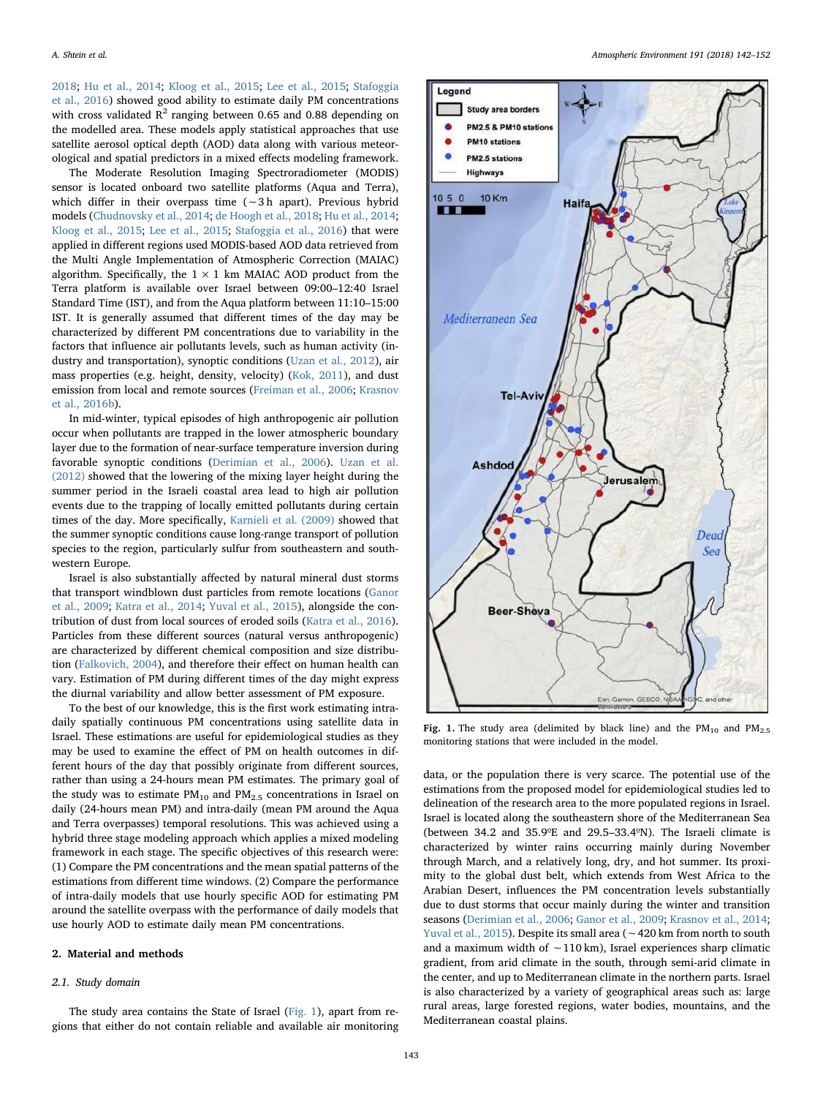[2018;](#page-9-12) [Hu et al., 2014;](#page-9-13) [Kloog et al., 2015;](#page-9-14) [Lee et al., 2015](#page-9-15); [Stafoggia](#page-10-8) [et al., 2016\)](#page-10-8) showed good ability to estimate daily PM concentrations with cross validated  $R^2$  ranging between 0.65 and 0.88 depending on the modelled area. These models apply statistical approaches that use satellite aerosol optical depth (AOD) data along with various meteorological and spatial predictors in a mixed effects modeling framework.

The Moderate Resolution Imaging Spectroradiometer (MODIS) sensor is located onboard two satellite platforms (Aqua and Terra), which differ in their overpass time (∼3 h apart). Previous hybrid models ([Chudnovsky et al., 2014;](#page-9-11) [de Hoogh et al., 2018;](#page-9-12) [Hu et al., 2014](#page-9-13); [Kloog et al., 2015;](#page-9-14) [Lee et al., 2015](#page-9-15); [Stafoggia et al., 2016](#page-10-8)) that were applied in different regions used MODIS-based AOD data retrieved from the Multi Angle Implementation of Atmospheric Correction (MAIAC) algorithm. Specifically, the  $1 \times 1$  km MAIAC AOD product from the Terra platform is available over Israel between 09:00–12:40 Israel Standard Time (IST), and from the Aqua platform between 11:10–15:00 IST. It is generally assumed that different times of the day may be characterized by different PM concentrations due to variability in the factors that influence air pollutants levels, such as human activity (industry and transportation), synoptic conditions [\(Uzan et al., 2012](#page-10-9)), air mass properties (e.g. height, density, velocity) ([Kok, 2011\)](#page-9-16), and dust emission from local and remote sources ([Freiman et al., 2006](#page-9-17); [Krasnov](#page-9-18) [et al., 2016b\)](#page-9-18).

In mid-winter, typical episodes of high anthropogenic air pollution occur when pollutants are trapped in the lower atmospheric boundary layer due to the formation of near-surface temperature inversion during favorable synoptic conditions ([Derimian et al., 2006](#page-9-19)). [Uzan et al.](#page-10-9) [\(2012\)](#page-10-9) showed that the lowering of the mixing layer height during the summer period in the Israeli coastal area lead to high air pollution events due to the trapping of locally emitted pollutants during certain times of the day. More specifically, [Karnieli et al. \(2009\)](#page-9-20) showed that the summer synoptic conditions cause long-range transport of pollution species to the region, particularly sulfur from southeastern and southwestern Europe.

Israel is also substantially affected by natural mineral dust storms that transport windblown dust particles from remote locations [\(Ganor](#page-9-21) [et al., 2009;](#page-9-21) [Katra et al., 2014](#page-9-22); [Yuval et al., 2015](#page-10-10)), alongside the contribution of dust from local sources of eroded soils ([Katra et al., 2016](#page-9-23)). Particles from these different sources (natural versus anthropogenic) are characterized by different chemical composition and size distribution [\(Falkovich, 2004](#page-9-24)), and therefore their effect on human health can vary. Estimation of PM during different times of the day might express the diurnal variability and allow better assessment of PM exposure.

To the best of our knowledge, this is the first work estimating intradaily spatially continuous PM concentrations using satellite data in Israel. These estimations are useful for epidemiological studies as they may be used to examine the effect of PM on health outcomes in different hours of the day that possibly originate from different sources, rather than using a 24-hours mean PM estimates. The primary goal of the study was to estimate  $PM_{10}$  and  $PM_{2.5}$  concentrations in Israel on daily (24-hours mean PM) and intra-daily (mean PM around the Aqua and Terra overpasses) temporal resolutions. This was achieved using a hybrid three stage modeling approach which applies a mixed modeling framework in each stage. The specific objectives of this research were: (1) Compare the PM concentrations and the mean spatial patterns of the estimations from different time windows. (2) Compare the performance of intra-daily models that use hourly specific AOD for estimating PM around the satellite overpass with the performance of daily models that use hourly AOD to estimate daily mean PM concentrations.

#### 2. Material and methods

#### 2.1. Study domain

The study area contains the State of Israel ([Fig. 1\)](#page-1-0), apart from regions that either do not contain reliable and available air monitoring

<span id="page-1-0"></span>

Fig. 1. The study area (delimited by black line) and the  $PM_{10}$  and  $PM_{2.5}$ monitoring stations that were included in the model.

data, or the population there is very scarce. The potential use of the estimations from the proposed model for epidemiological studies led to delineation of the research area to the more populated regions in Israel. Israel is located along the southeastern shore of the Mediterranean Sea (between 34.2 and 35.9ºE and 29.5–33.4ºN). The Israeli climate is characterized by winter rains occurring mainly during November through March, and a relatively long, dry, and hot summer. Its proximity to the global dust belt, which extends from West Africa to the Arabian Desert, influences the PM concentration levels substantially due to dust storms that occur mainly during the winter and transition seasons [\(Derimian et al., 2006;](#page-9-19) [Ganor et al., 2009;](#page-9-21) [Krasnov et al., 2014](#page-9-25); [Yuval et al., 2015\)](#page-10-10). Despite its small area (∼420 km from north to south and a maximum width of ∼110 km), Israel experiences sharp climatic gradient, from arid climate in the south, through semi-arid climate in the center, and up to Mediterranean climate in the northern parts. Israel is also characterized by a variety of geographical areas such as: large rural areas, large forested regions, water bodies, mountains, and the Mediterranean coastal plains.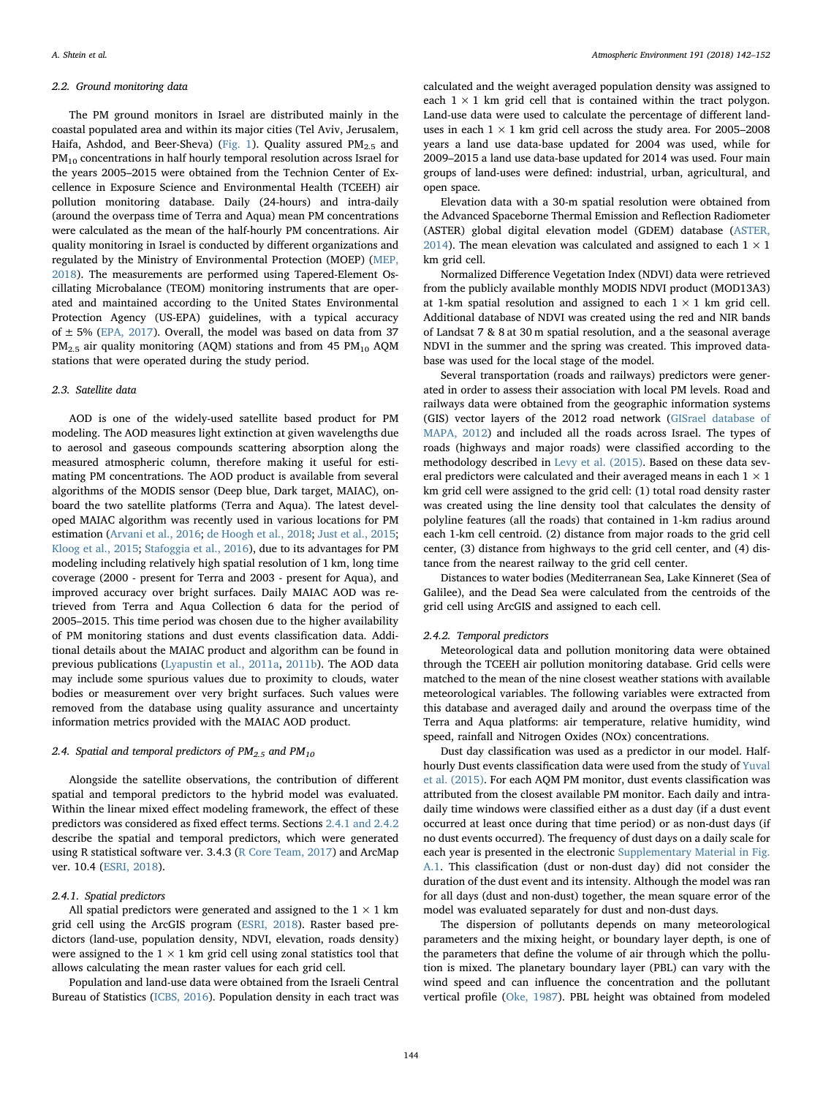#### 2.2. Ground monitoring data

The PM ground monitors in Israel are distributed mainly in the coastal populated area and within its major cities (Tel Aviv, Jerusalem, Haifa, Ashdod, and Beer-Sheva) [\(Fig. 1](#page-1-0)). Quality assured  $PM_{2.5}$  and  $PM_{10}$  concentrations in half hourly temporal resolution across Israel for the years 2005–2015 were obtained from the Technion Center of Excellence in Exposure Science and Environmental Health (TCEEH) air pollution monitoring database. Daily (24-hours) and intra-daily (around the overpass time of Terra and Aqua) mean PM concentrations were calculated as the mean of the half-hourly PM concentrations. Air quality monitoring in Israel is conducted by different organizations and regulated by the Ministry of Environmental Protection (MOEP) [\(MEP,](#page-10-11) [2018\)](#page-10-11). The measurements are performed using Tapered-Element Oscillating Microbalance (TEOM) monitoring instruments that are operated and maintained according to the United States Environmental Protection Agency (US-EPA) guidelines, with a typical accuracy of  $\pm$  5% [\(EPA, 2017](#page-9-26)). Overall, the model was based on data from 37  $PM_{2.5}$  air quality monitoring (AQM) stations and from 45  $PM_{10}$  AQM stations that were operated during the study period.

# 2.3. Satellite data

AOD is one of the widely-used satellite based product for PM modeling. The AOD measures light extinction at given wavelengths due to aerosol and gaseous compounds scattering absorption along the measured atmospheric column, therefore making it useful for estimating PM concentrations. The AOD product is available from several algorithms of the MODIS sensor (Deep blue, Dark target, MAIAC), onboard the two satellite platforms (Terra and Aqua). The latest developed MAIAC algorithm was recently used in various locations for PM estimation ([Arvani et al., 2016](#page-9-27); [de Hoogh et al., 2018;](#page-9-12) [Just et al., 2015](#page-9-28); [Kloog et al., 2015](#page-9-14); [Stafoggia et al., 2016](#page-10-8)), due to its advantages for PM modeling including relatively high spatial resolution of 1 km, long time coverage (2000 - present for Terra and 2003 - present for Aqua), and improved accuracy over bright surfaces. Daily MAIAC AOD was retrieved from Terra and Aqua Collection 6 data for the period of 2005–2015. This time period was chosen due to the higher availability of PM monitoring stations and dust events classification data. Additional details about the MAIAC product and algorithm can be found in previous publications ([Lyapustin et al., 2011a](#page-10-12), [2011b](#page-10-13)). The AOD data may include some spurious values due to proximity to clouds, water bodies or measurement over very bright surfaces. Such values were removed from the database using quality assurance and uncertainty information metrics provided with the MAIAC AOD product.

### 2.4. Spatial and temporal predictors of  $PM_{2.5}$  and  $PM_{10}$

Alongside the satellite observations, the contribution of different spatial and temporal predictors to the hybrid model was evaluated. Within the linear mixed effect modeling framework, the effect of these predictors was considered as fixed effect terms. Sections [2.4.1 and 2.4.2](#page-2-0) describe the spatial and temporal predictors, which were generated using R statistical software ver. 3.4.3 ([R Core Team, 2017\)](#page-10-14) and ArcMap ver. 10.4 [\(ESRI, 2018\)](#page-9-29).

#### <span id="page-2-0"></span>2.4.1. Spatial predictors

All spatial predictors were generated and assigned to the  $1 \times 1$  km grid cell using the ArcGIS program ([ESRI, 2018\)](#page-9-29). Raster based predictors (land-use, population density, NDVI, elevation, roads density) were assigned to the  $1 \times 1$  km grid cell using zonal statistics tool that allows calculating the mean raster values for each grid cell.

Population and land-use data were obtained from the Israeli Central Bureau of Statistics ([ICBS, 2016\)](#page-9-30). Population density in each tract was calculated and the weight averaged population density was assigned to each  $1 \times 1$  km grid cell that is contained within the tract polygon. Land-use data were used to calculate the percentage of different landuses in each  $1 \times 1$  km grid cell across the study area. For 2005–2008 years a land use data-base updated for 2004 was used, while for 2009–2015 a land use data-base updated for 2014 was used. Four main groups of land-uses were defined: industrial, urban, agricultural, and open space.

Elevation data with a 30-m spatial resolution were obtained from the Advanced Spaceborne Thermal Emission and Reflection Radiometer (ASTER) global digital elevation model (GDEM) database [\(ASTER,](#page-9-31) [2014\)](#page-9-31). The mean elevation was calculated and assigned to each  $1 \times 1$ km grid cell.

Normalized Difference Vegetation Index (NDVI) data were retrieved from the publicly available monthly MODIS NDVI product (MOD13A3) at 1-km spatial resolution and assigned to each  $1 \times 1$  km grid cell. Additional database of NDVI was created using the red and NIR bands of Landsat 7 & 8 at 30 m spatial resolution, and a the seasonal average NDVI in the summer and the spring was created. This improved database was used for the local stage of the model.

Several transportation (roads and railways) predictors were generated in order to assess their association with local PM levels. Road and railways data were obtained from the geographic information systems (GIS) vector layers of the 2012 road network ([GISrael database of](#page-9-32) [MAPA, 2012\)](#page-9-32) and included all the roads across Israel. The types of roads (highways and major roads) were classified according to the methodology described in [Levy et al. \(2015\)](#page-9-33). Based on these data several predictors were calculated and their averaged means in each 1  $\times$  1 km grid cell were assigned to the grid cell: (1) total road density raster was created using the line density tool that calculates the density of polyline features (all the roads) that contained in 1-km radius around each 1-km cell centroid. (2) distance from major roads to the grid cell center, (3) distance from highways to the grid cell center, and (4) distance from the nearest railway to the grid cell center.

Distances to water bodies (Mediterranean Sea, Lake Kinneret (Sea of Galilee), and the Dead Sea were calculated from the centroids of the grid cell using ArcGIS and assigned to each cell.

## 2.4.2. Temporal predictors

Meteorological data and pollution monitoring data were obtained through the TCEEH air pollution monitoring database. Grid cells were matched to the mean of the nine closest weather stations with available meteorological variables. The following variables were extracted from this database and averaged daily and around the overpass time of the Terra and Aqua platforms: air temperature, relative humidity, wind speed, rainfall and Nitrogen Oxides (NOx) concentrations.

Dust day classification was used as a predictor in our model. Halfhourly Dust events classification data were used from the study of [Yuval](#page-10-10) [et al. \(2015\)](#page-10-10). For each AQM PM monitor, dust events classification was attributed from the closest available PM monitor. Each daily and intradaily time windows were classified either as a dust day (if a dust event occurred at least once during that time period) or as non-dust days (if no dust events occurred). The frequency of dust days on a daily scale for each year is presented in the electronic Supplementary Material in Fig. A.1. This classification (dust or non-dust day) did not consider the duration of the dust event and its intensity. Although the model was ran for all days (dust and non-dust) together, the mean square error of the model was evaluated separately for dust and non-dust days.

The dispersion of pollutants depends on many meteorological parameters and the mixing height, or boundary layer depth, is one of the parameters that define the volume of air through which the pollution is mixed. The planetary boundary layer (PBL) can vary with the wind speed and can influence the concentration and the pollutant vertical profile [\(Oke, 1987\)](#page-10-15). PBL height was obtained from modeled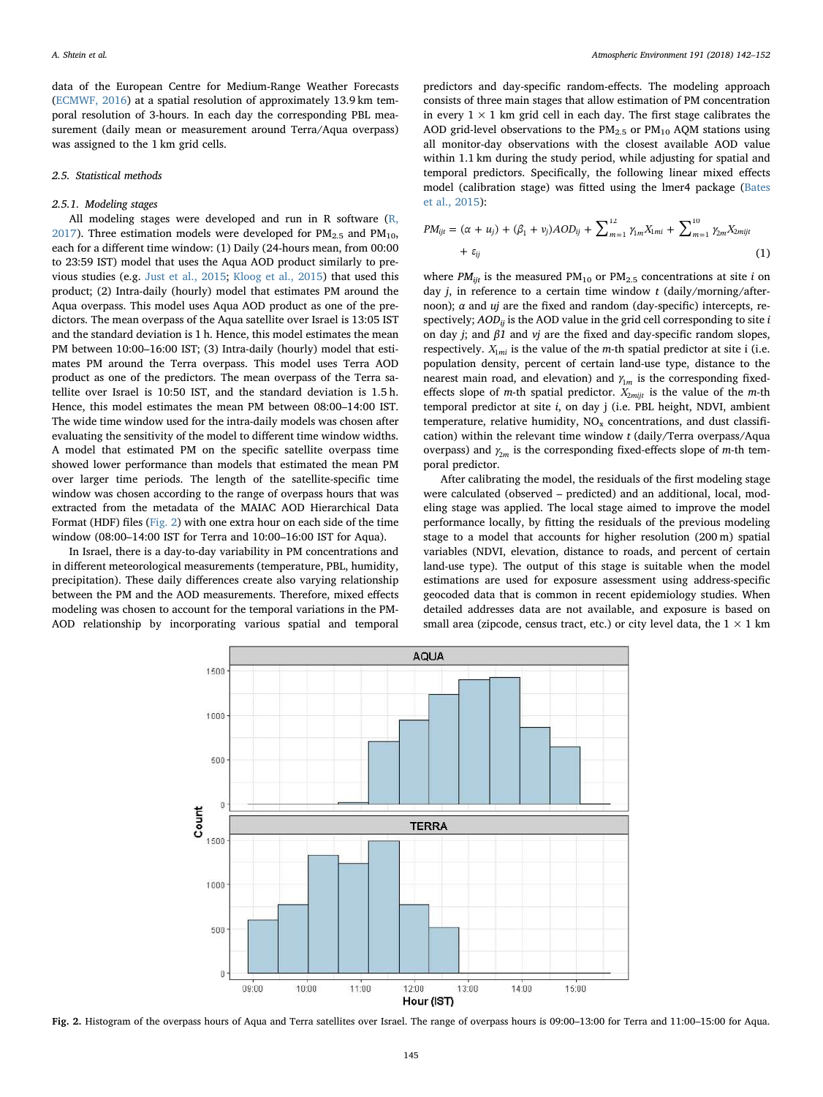data of the European Centre for Medium-Range Weather Forecasts ([ECMWF, 2016\)](#page-9-34) at a spatial resolution of approximately 13.9 km temporal resolution of 3-hours. In each day the corresponding PBL measurement (daily mean or measurement around Terra/Aqua overpass) was assigned to the 1 km grid cells.

## 2.5. Statistical methods

# 2.5.1. Modeling stages

All modeling stages were developed and run in R software [\(R,](#page-10-14) [2017\)](#page-10-14). Three estimation models were developed for  $PM_{2.5}$  and  $PM_{10}$ , each for a different time window: (1) Daily (24-hours mean, from 00:00 to 23:59 IST) model that uses the Aqua AOD product similarly to previous studies (e.g. [Just et al., 2015;](#page-9-28) [Kloog et al., 2015\)](#page-9-14) that used this product; (2) Intra-daily (hourly) model that estimates PM around the Aqua overpass. This model uses Aqua AOD product as one of the predictors. The mean overpass of the Aqua satellite over Israel is 13:05 IST and the standard deviation is 1 h. Hence, this model estimates the mean PM between 10:00-16:00 IST; (3) Intra-daily (hourly) model that estimates PM around the Terra overpass. This model uses Terra AOD product as one of the predictors. The mean overpass of the Terra satellite over Israel is 10:50 IST, and the standard deviation is 1.5 h. Hence, this model estimates the mean PM between 08:00–14:00 IST. The wide time window used for the intra-daily models was chosen after evaluating the sensitivity of the model to different time window widths. A model that estimated PM on the specific satellite overpass time showed lower performance than models that estimated the mean PM over larger time periods. The length of the satellite-specific time window was chosen according to the range of overpass hours that was extracted from the metadata of the MAIAC AOD Hierarchical Data Format (HDF) files ([Fig. 2](#page-3-0)) with one extra hour on each side of the time window (08:00–14:00 IST for Terra and 10:00–16:00 IST for Aqua).

<span id="page-3-0"></span>In Israel, there is a day-to-day variability in PM concentrations and in different meteorological measurements (temperature, PBL, humidity, precipitation). These daily differences create also varying relationship between the PM and the AOD measurements. Therefore, mixed effects modeling was chosen to account for the temporal variations in the PM-AOD relationship by incorporating various spatial and temporal

predictors and day-specific random-effects. The modeling approach consists of three main stages that allow estimation of PM concentration in every  $1 \times 1$  km grid cell in each day. The first stage calibrates the AOD grid-level observations to the  $PM_{2.5}$  or  $PM_{10}$  AQM stations using all monitor-day observations with the closest available AOD value within 1.1 km during the study period, while adjusting for spatial and temporal predictors. Specifically, the following linear mixed effects model (calibration stage) was fitted using the lmer4 package ([Bates](#page-9-35) [et al., 2015](#page-9-35)):

$$
PM_{ijt} = (\alpha + u_j) + (\beta_1 + v_j) AOD_{ij} + \sum_{m=1}^{12} \gamma_m X_{1mi} + \sum_{m=1}^{10} \gamma_{2m} X_{2mijt} + \varepsilon_{ij}
$$
\n(1)

where  $PM_{ijt}$  is the measured  $PM_{10}$  or  $PM_{2.5}$  concentrations at site i on day  $j$ , in reference to a certain time window  $t$  (daily/morning/afternoon);  $\alpha$  and  $\mu$  are the fixed and random (day-specific) intercepts, respectively;  $AOD_{ii}$  is the AOD value in the grid cell corresponding to site i on day *j*; and  $\beta$ 1 and *vj* are the fixed and day-specific random slopes, respectively.  $X_{1mi}$  is the value of the *m*-th spatial predictor at site i (i.e. population density, percent of certain land-use type, distance to the nearest main road, and elevation) and  $\gamma_{1m}$  is the corresponding fixedeffects slope of m-th spatial predictor.  $X_{2mijt}$  is the value of the m-th temporal predictor at site i, on day j (i.e. PBL height, NDVI, ambient temperature, relative humidity,  $NO<sub>x</sub>$  concentrations, and dust classification) within the relevant time window t (daily/Terra overpass/Aqua overpass) and  $\gamma_{2m}$  is the corresponding fixed-effects slope of m-th temporal predictor.

After calibrating the model, the residuals of the first modeling stage were calculated (observed – predicted) and an additional, local, modeling stage was applied. The local stage aimed to improve the model performance locally, by fitting the residuals of the previous modeling stage to a model that accounts for higher resolution (200 m) spatial variables (NDVI, elevation, distance to roads, and percent of certain land-use type). The output of this stage is suitable when the model estimations are used for exposure assessment using address-specific geocoded data that is common in recent epidemiology studies. When detailed addresses data are not available, and exposure is based on small area (zipcode, census tract, etc.) or city level data, the  $1 \times 1$  km



Fig. 2. Histogram of the overpass hours of Aqua and Terra satellites over Israel. The range of overpass hours is 09:00–13:00 for Terra and 11:00–15:00 for Aqua.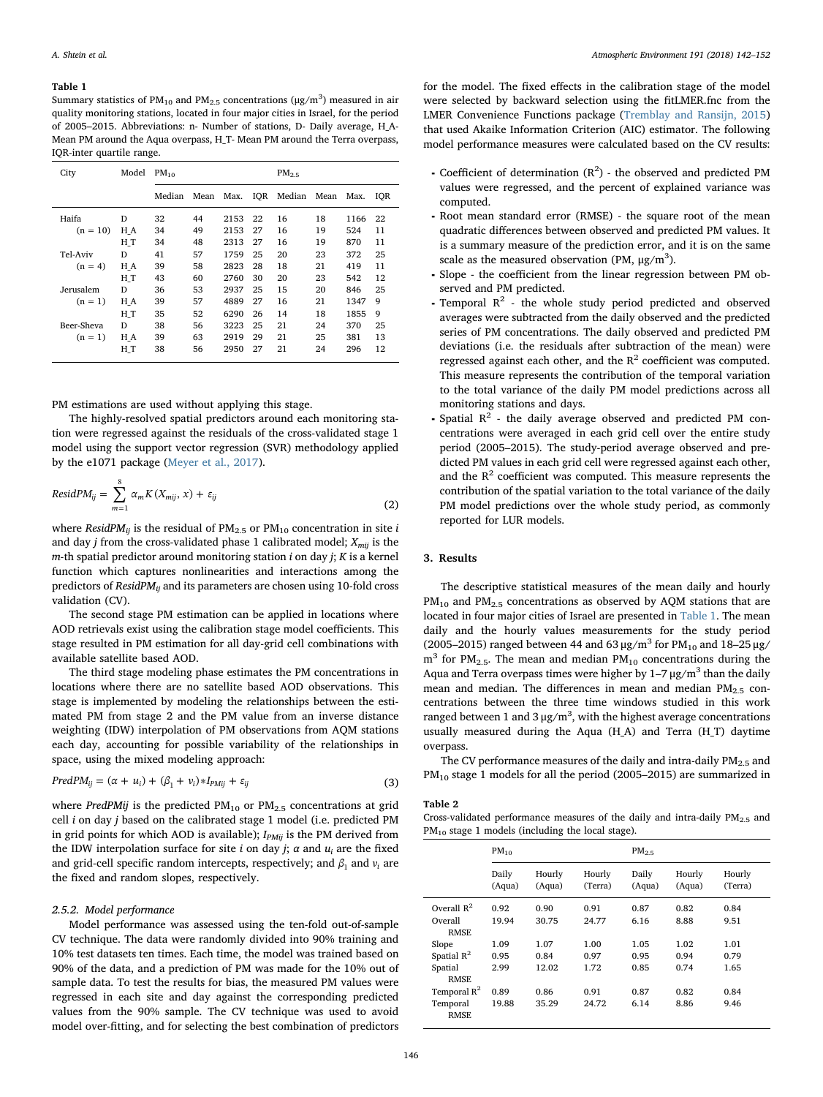#### <span id="page-4-0"></span>Table 1

Summary statistics of PM<sub>10</sub> and PM<sub>2.5</sub> concentrations ( $\mu$ g/m<sup>3</sup>) measured in air quality monitoring stations, located in four major cities in Israel, for the period of 2005–2015. Abbreviations: n- Number of stations, D- Daily average, H\_A-Mean PM around the Aqua overpass, H\_T- Mean PM around the Terra overpass, IQR-inter quartile range.

| City       | Model | $PM_{10}$ |      |      | PM <sub>2.5</sub> |        |      |      |     |
|------------|-------|-----------|------|------|-------------------|--------|------|------|-----|
|            |       | Median    | Mean | Max. | <b>IOR</b>        | Median | Mean | Max. | IOR |
| Haifa      | D     | 32        | 44   | 2153 | 22                | 16     | 18   | 1166 | 22  |
| $(n = 10)$ | H A   | 34        | 49   | 2153 | 27                | 16     | 19   | 524  | 11  |
|            | НT    | 34        | 48   | 2313 | 27                | 16     | 19   | 870  | 11  |
| Tel-Aviv   | D     | 41        | 57   | 1759 | 25                | 20     | 23   | 372  | 25  |
| $(n = 4)$  | H A   | 39        | 58   | 2823 | 28                | 18     | 21   | 419  | 11  |
|            | НT    | 43        | 60   | 2760 | 30                | 20     | 23   | 542  | 12  |
| Jerusalem  | D     | 36        | 53   | 2937 | 25                | 15     | 20   | 846  | 25  |
| $(n = 1)$  | H A   | 39        | 57   | 4889 | 27                | 16     | 21   | 1347 | 9   |
|            | НT    | 35        | 52   | 6290 | 26                | 14     | 18   | 1855 | 9   |
| Beer-Sheva | D     | 38        | 56   | 3223 | 25                | 21     | 24   | 370  | 25  |
| $(n = 1)$  | $H_A$ | 39        | 63   | 2919 | 29                | 21     | 25   | 381  | 13  |
|            | HT    | 38        | 56   | 2950 | 27                | 21     | 24   | 296  | 12  |

PM estimations are used without applying this stage.

The highly-resolved spatial predictors around each monitoring station were regressed against the residuals of the cross-validated stage 1 model using the support vector regression (SVR) methodology applied by the e1071 package ([Meyer et al., 2017](#page-10-16)).

$$
ResidPM_{ij} = \sum_{m=1}^{8} \alpha_m K(X_{mij}, x) + \varepsilon_{ij}
$$
\n(2)

where ResidPM<sub>ij</sub> is the residual of PM<sub>2.5</sub> or PM<sub>10</sub> concentration in site i and day *j* from the cross-validated phase 1 calibrated model;  $X_{mi}$  is the  $m$ -th spatial predictor around monitoring station  $i$  on day  $j$ ;  $K$  is a kernel function which captures nonlinearities and interactions among the predictors of ResidPM<sub>ii</sub> and its parameters are chosen using 10-fold cross validation (CV).

The second stage PM estimation can be applied in locations where AOD retrievals exist using the calibration stage model coefficients. This stage resulted in PM estimation for all day-grid cell combinations with available satellite based AOD.

The third stage modeling phase estimates the PM concentrations in locations where there are no satellite based AOD observations. This stage is implemented by modeling the relationships between the estimated PM from stage 2 and the PM value from an inverse distance weighting (IDW) interpolation of PM observations from AQM stations each day, accounting for possible variability of the relationships in space, using the mixed modeling approach:

$$
PredPM_{ij} = (\alpha + u_i) + (\beta_1 + v_i) * I_{PMij} + \varepsilon_{ij}
$$
\n(3)

where PredPMij is the predicted  $PM_{10}$  or  $PM_{2.5}$  concentrations at grid cell i on day j based on the calibrated stage 1 model (i.e. predicted PM in grid points for which AOD is available);  $I_{PMii}$  is the PM derived from the IDW interpolation surface for site i on day j;  $\alpha$  and  $u_i$  are the fixed and grid-cell specific random intercepts, respectively; and  $\beta_1$  and  $v_i$  are the fixed and random slopes, respectively.

# 2.5.2. Model performance

Model performance was assessed using the ten-fold out-of-sample CV technique. The data were randomly divided into 90% training and 10% test datasets ten times. Each time, the model was trained based on 90% of the data, and a prediction of PM was made for the 10% out of sample data. To test the results for bias, the measured PM values were regressed in each site and day against the corresponding predicted values from the 90% sample. The CV technique was used to avoid model over-fitting, and for selecting the best combination of predictors

for the model. The fixed effects in the calibration stage of the model were selected by backward selection using the fitLMER.fnc from the LMER Convenience Functions package ([Tremblay and Ransijn, 2015\)](#page-10-17) that used Akaike Information Criterion (AIC) estimator. The following model performance measures were calculated based on the CV results:

- Coefficient of determination  $(R^2)$  the observed and predicted PM values were regressed, and the percent of explained variance was computed.
- ⁃ Root mean standard error (RMSE) the square root of the mean quadratic differences between observed and predicted PM values. It is a summary measure of the prediction error, and it is on the same scale as the measured observation (PM,  $\mu$ g/m<sup>3</sup>).
- ⁃ Slope the coefficient from the linear regression between PM observed and PM predicted.
- Temporal  $R^2$  the whole study period predicted and observed averages were subtracted from the daily observed and the predicted series of PM concentrations. The daily observed and predicted PM deviations (i.e. the residuals after subtraction of the mean) were regressed against each other, and the  $R^2$  coefficient was computed. This measure represents the contribution of the temporal variation to the total variance of the daily PM model predictions across all monitoring stations and days.
- $\bullet$  Spatial  $\mathbb{R}^2$  the daily average observed and predicted PM concentrations were averaged in each grid cell over the entire study period (2005–2015). The study-period average observed and predicted PM values in each grid cell were regressed against each other, and the  $R<sup>2</sup>$  coefficient was computed. This measure represents the contribution of the spatial variation to the total variance of the daily PM model predictions over the whole study period, as commonly reported for LUR models.

# 3. Results

The descriptive statistical measures of the mean daily and hourly  $PM_{10}$  and  $PM_{2.5}$  concentrations as observed by AQM stations that are located in four major cities of Israel are presented in [Table 1.](#page-4-0) The mean daily and the hourly values measurements for the study period (2005–2015) ranged between 44 and 63  $\mu$ g/m<sup>3</sup> for PM<sub>10</sub> and 18–25  $\mu$ g/  $m<sup>3</sup>$  for PM<sub>2.5</sub>. The mean and median PM<sub>10</sub> concentrations during the Aqua and Terra overpass times were higher by  $1-7 \mu g/m^3$  than the daily mean and median. The differences in mean and median  $PM_{2.5}$  concentrations between the three time windows studied in this work ranged between 1 and 3  $\mu$ g/m<sup>3</sup>, with the highest average concentrations usually measured during the Aqua (H\_A) and Terra (H\_T) daytime overpass.

The CV performance measures of the daily and intra-daily  $PM_{2.5}$  and  $PM_{10}$  stage 1 models for all the period (2005–2015) are summarized in

### <span id="page-4-1"></span>Table 2

Cross-validated performance measures of the daily and intra-daily  $PM_{2.5}$  and PM<sub>10</sub> stage 1 models (including the local stage).

|                         | $PM_{10}$       |                  |                   | PM <sub>25</sub> |                  |                   |  |
|-------------------------|-----------------|------------------|-------------------|------------------|------------------|-------------------|--|
|                         | Daily<br>(Aqua) | Hourly<br>(Aqua) | Hourly<br>(Terra) | Daily<br>(Aqua)  | Hourly<br>(Aqua) | Hourly<br>(Terra) |  |
| Overall $R^2$           | 0.92            | 0.90             | 0.91              | 0.87             | 0.82             | 0.84              |  |
| Overall<br><b>RMSE</b>  | 19.94           | 30.75            | 24.77             | 6.16             | 8.88             | 9.51              |  |
| Slope                   | 1.09            | 1.07             | 1.00              | 1.05             | 1.02             | 1.01              |  |
| Spatial $R^2$           | 0.95            | 0.84             | 0.97              | 0.95             | 0.94             | 0.79              |  |
| Spatial<br><b>RMSE</b>  | 2.99            | 12.02            | 1.72              | 0.85             | 0.74             | 1.65              |  |
| Temporal $R^2$          | 0.89            | 0.86             | 0.91              | 0.87             | 0.82             | 0.84              |  |
| Temporal<br><b>RMSE</b> | 19.88           | 35.29            | 24.72             | 6.14             | 8.86             | 9.46              |  |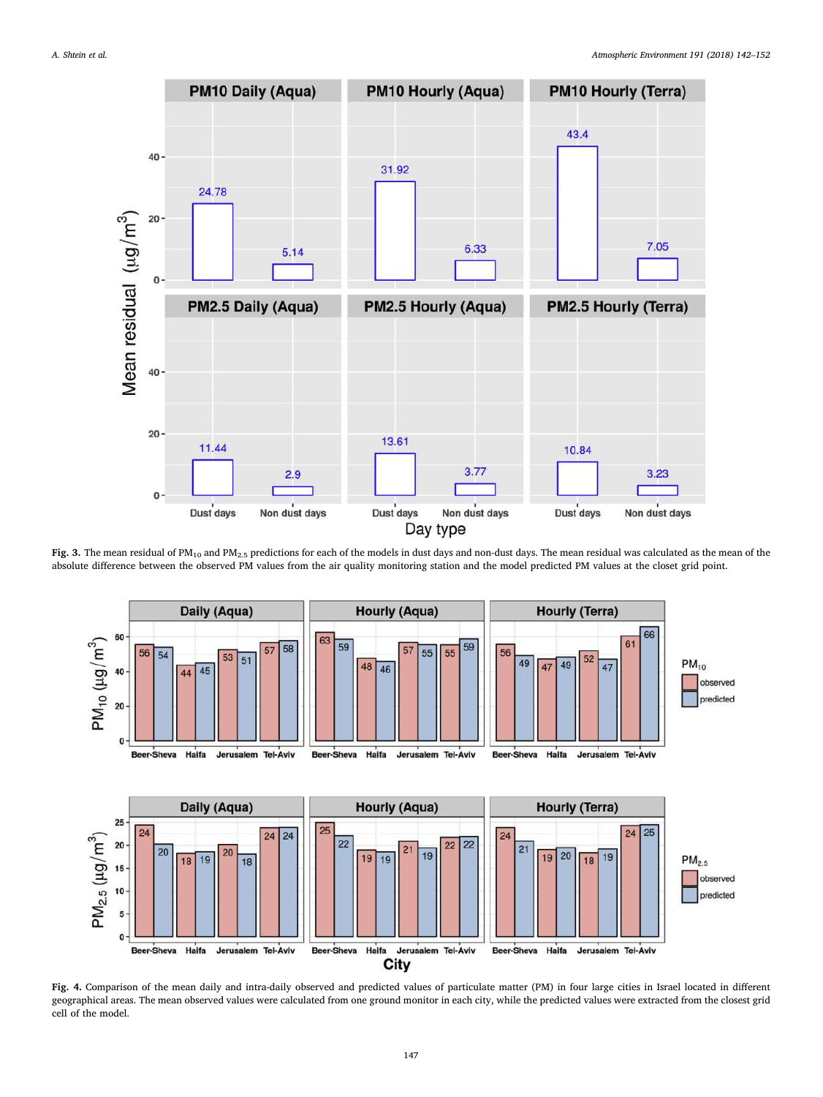<span id="page-5-0"></span>

Fig. 3. The mean residual of PM<sub>10</sub> and PM<sub>2.5</sub> predictions for each of the models in dust days and non-dust days. The mean residual was calculated as the mean of the absolute difference between the observed PM values from the air quality monitoring station and the model predicted PM values at the closet grid point.

<span id="page-5-1"></span>

Fig. 4. Comparison of the mean daily and intra-daily observed and predicted values of particulate matter (PM) in four large cities in Israel located in different geographical areas. The mean observed values were calculated from one ground monitor in each city, while the predicted values were extracted from the closest grid cell of the model.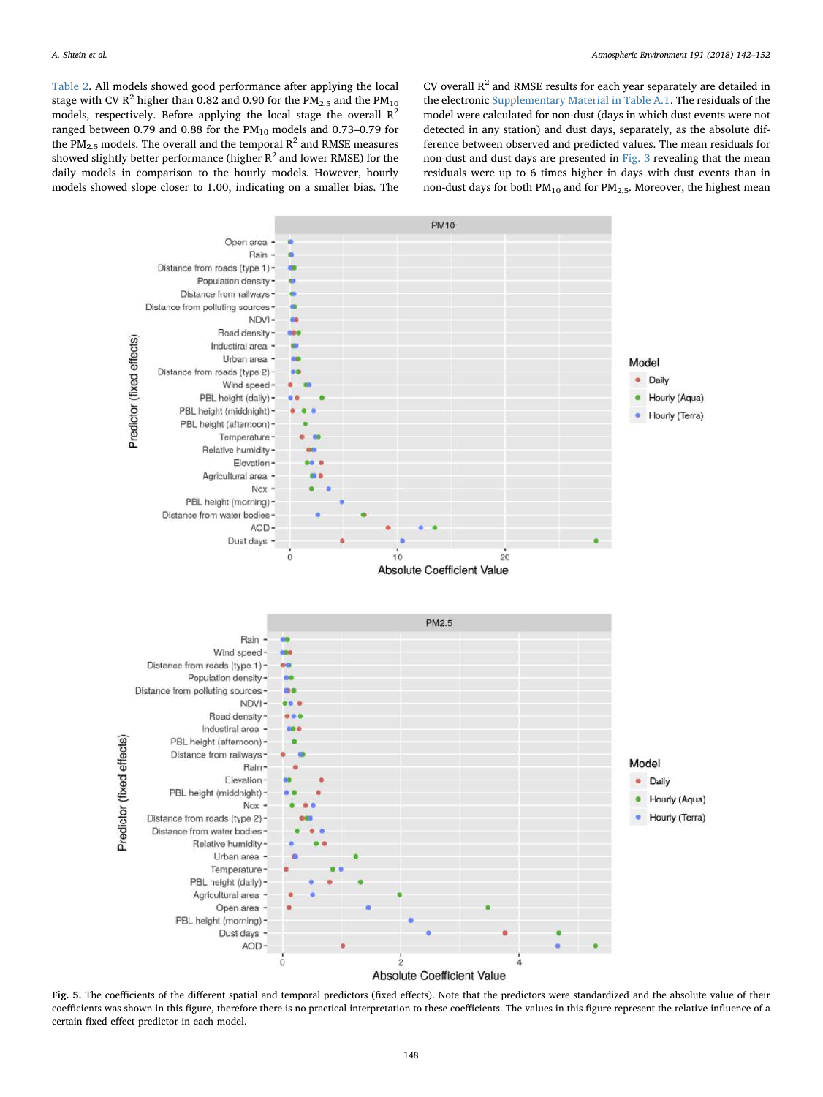[Table 2](#page-4-1). All models showed good performance after applying the local stage with CV R<sup>2</sup> higher than 0.82 and 0.90 for the PM<sub>2.5</sub> and the PM<sub>10</sub> models, respectively. Before applying the local stage the overall  $R^2$ ranged between 0.79 and 0.88 for the  $PM_{10}$  models and 0.73–0.79 for the PM<sub>2.5</sub> models. The overall and the temporal  $R^2$  and RMSE measures showed slightly better performance (higher  $R^2$  and lower RMSE) for the daily models in comparison to the hourly models. However, hourly models showed slope closer to 1.00, indicating on a smaller bias. The CV overall  $R^2$  and RMSE results for each year separately are detailed in the electronic Supplementary Material in Table A.1. The residuals of the model were calculated for non-dust (days in which dust events were not detected in any station) and dust days, separately, as the absolute difference between observed and predicted values. The mean residuals for non-dust and dust days are presented in [Fig. 3](#page-5-0) revealing that the mean residuals were up to 6 times higher in days with dust events than in non-dust days for both  $PM_{10}$  and for  $PM_{2.5}$ . Moreover, the highest mean

<span id="page-6-0"></span>

Fig. 5. The coefficients of the different spatial and temporal predictors (fixed effects). Note that the predictors were standardized and the absolute value of their coefficients was shown in this figure, therefore there is no practical interpretation to these coefficients. The values in this figure represent the relative influence of a certain fixed effect predictor in each model.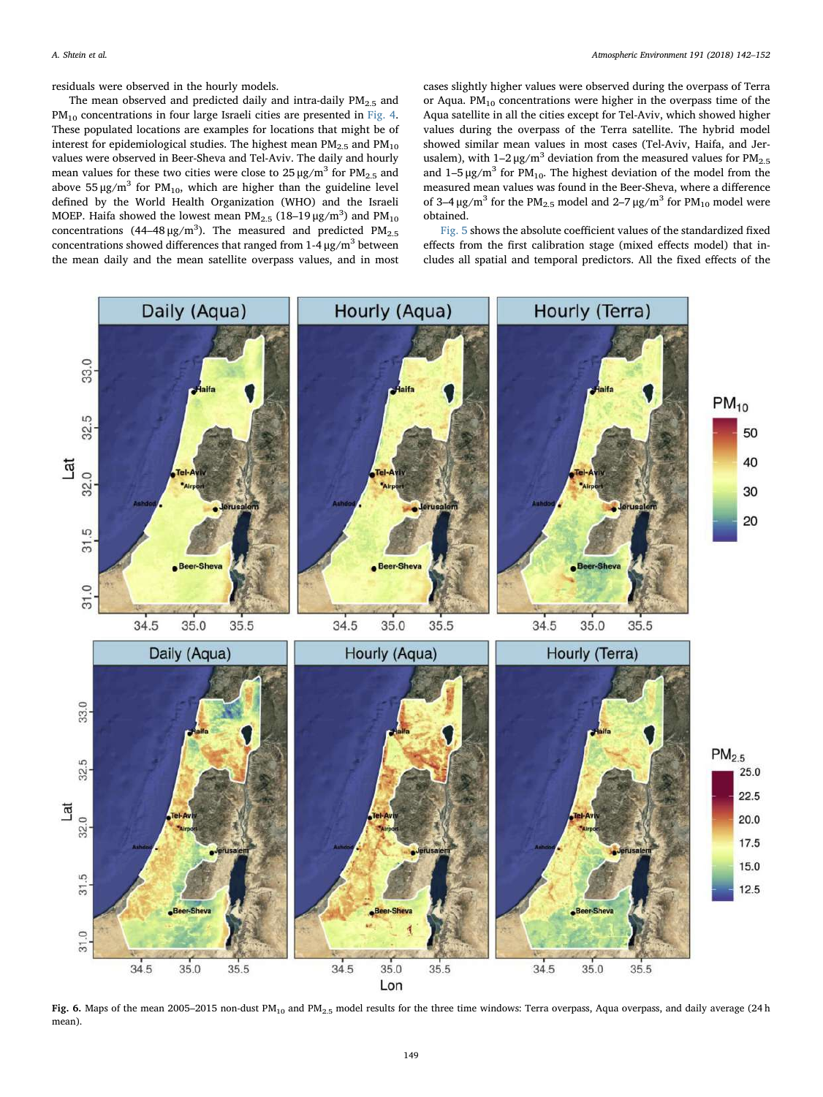residuals were observed in the hourly models.

The mean observed and predicted daily and intra-daily  $PM<sub>2.5</sub>$  and PM<sub>10</sub> concentrations in four large Israeli cities are presented in [Fig. 4](#page-5-1). These populated locations are examples for locations that might be of interest for epidemiological studies. The highest mean  $PM_{2.5}$  and  $PM_{10}$ values were observed in Beer-Sheva and Tel-Aviv. The daily and hourly mean values for these two cities were close to  $25 \mu g/m^3$  for  $PM_{2.5}$  and above 55  $\mu$ g/m<sup>3</sup> for PM<sub>10</sub>, which are higher than the guideline level defined by the World Health Organization (WHO) and the Israeli MOEP. Haifa showed the lowest mean PM<sub>2.5</sub> (18–19  $\mu$ g/m $^3$ ) and PM<sub>10</sub> concentrations (44–48  $\mu$ g/m<sup>3</sup>). The measured and predicted PM<sub>2.5</sub> concentrations showed differences that ranged from  $1-4 \mu$ g/m<sup>3</sup> between the mean daily and the mean satellite overpass values, and in most cases slightly higher values were observed during the overpass of Terra or Aqua.  $PM_{10}$  concentrations were higher in the overpass time of the Aqua satellite in all the cities except for Tel-Aviv, which showed higher values during the overpass of the Terra satellite. The hybrid model showed similar mean values in most cases (Tel-Aviv, Haifa, and Jerusalem), with  $1-2 \mu g/m^3$  deviation from the measured values for PM<sub>2.5</sub> and  $1-5 \mu g/m^3$  for PM<sub>10</sub>. The highest deviation of the model from the measured mean values was found in the Beer-Sheva, where a difference of 3–4  $\mu$ g/m<sup>3</sup> for the PM<sub>2.5</sub> model and 2–7  $\mu$ g/m<sup>3</sup> for PM<sub>10</sub> model were obtained.

[Fig. 5](#page-6-0) shows the absolute coefficient values of the standardized fixed effects from the first calibration stage (mixed effects model) that includes all spatial and temporal predictors. All the fixed effects of the

<span id="page-7-0"></span>

Fig. 6. Maps of the mean 2005–2015 non-dust PM<sub>10</sub> and PM<sub>2.5</sub> model results for the three time windows: Terra overpass, Aqua overpass, and daily average (24 h mean).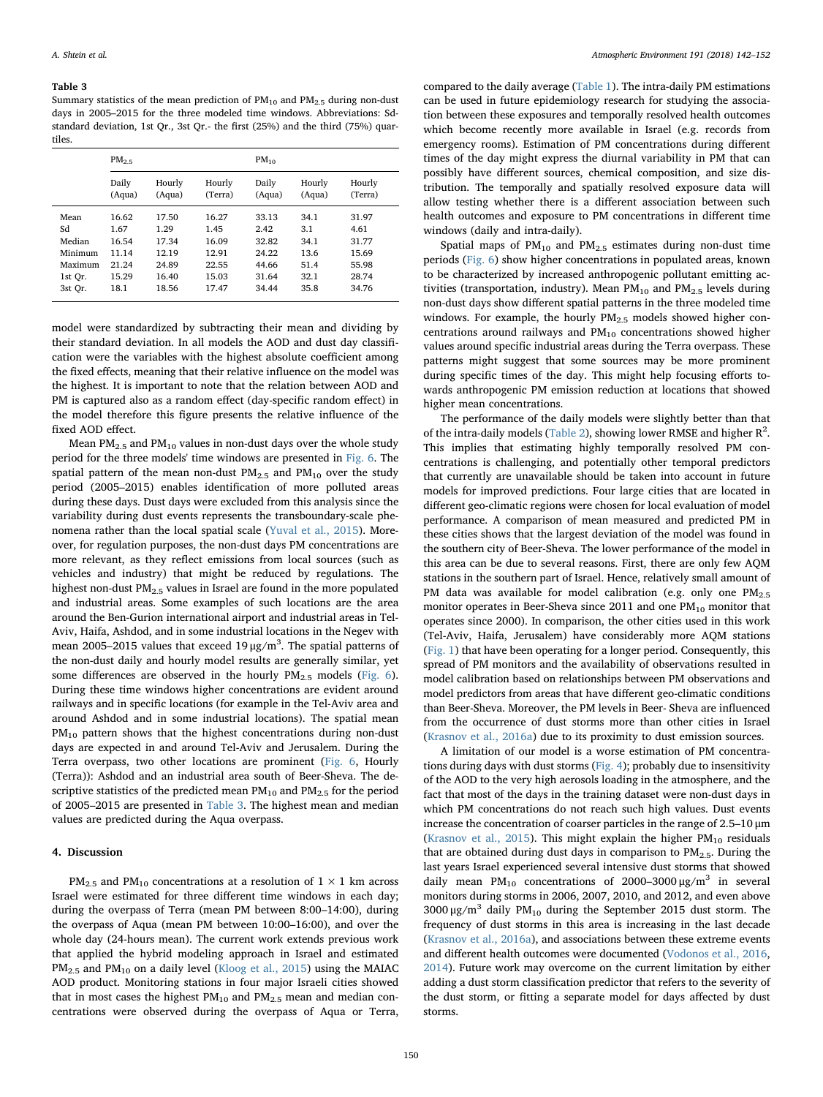## <span id="page-8-0"></span>Table 3

Summary statistics of the mean prediction of  $PM_{10}$  and  $PM_{2.5}$  during non-dust days in 2005–2015 for the three modeled time windows. Abbreviations: Sdstandard deviation, 1st Qr., 3st Qr.- the first (25%) and the third (75%) quartiles.

|         | $PM_{2.5}$ |        |         | $PM_{10}$ |        |         |  |  |
|---------|------------|--------|---------|-----------|--------|---------|--|--|
|         | Daily      | Hourly | Hourly  | Daily     | Hourly | Hourly  |  |  |
|         | (Aqua)     | (Aqua) | (Terra) | (Aqua)    | (Aqua) | (Terra) |  |  |
| Mean    | 16.62      | 17.50  | 16.27   | 33.13     | 34.1   | 31.97   |  |  |
| Sd      | 1.67       | 1.29   | 1.45    | 2.42      | 3.1    | 4.61    |  |  |
| Median  | 16.54      | 17.34  | 16.09   | 32.82     | 34.1   | 31.77   |  |  |
| Minimum | 11.14      | 12.19  | 12.91   | 24.22     | 13.6   | 15.69   |  |  |
| Maximum | 21.24      | 24.89  | 22.55   | 44.66     | 51.4   | 55.98   |  |  |
| 1st Or. | 15.29      | 16.40  | 15.03   | 31.64     | 32.1   | 28.74   |  |  |
| 3st Or. | 18.1       | 18.56  | 17.47   | 34.44     | 35.8   | 34.76   |  |  |

model were standardized by subtracting their mean and dividing by their standard deviation. In all models the AOD and dust day classification were the variables with the highest absolute coefficient among the fixed effects, meaning that their relative influence on the model was the highest. It is important to note that the relation between AOD and PM is captured also as a random effect (day-specific random effect) in the model therefore this figure presents the relative influence of the fixed AOD effect.

Mean  $PM_{2.5}$  and  $PM_{10}$  values in non-dust days over the whole study period for the three models' time windows are presented in [Fig. 6.](#page-7-0) The spatial pattern of the mean non-dust  $PM_{2.5}$  and  $PM_{10}$  over the study period (2005–2015) enables identification of more polluted areas during these days. Dust days were excluded from this analysis since the variability during dust events represents the transboundary-scale phenomena rather than the local spatial scale [\(Yuval et al., 2015\)](#page-10-10). Moreover, for regulation purposes, the non-dust days PM concentrations are more relevant, as they reflect emissions from local sources (such as vehicles and industry) that might be reduced by regulations. The highest non-dust  $PM<sub>2.5</sub>$  values in Israel are found in the more populated and industrial areas. Some examples of such locations are the area around the Ben-Gurion international airport and industrial areas in Tel-Aviv, Haifa, Ashdod, and in some industrial locations in the Negev with mean 2005–2015 values that exceed  $19 \mu g/m^3$ . The spatial patterns of the non-dust daily and hourly model results are generally similar, yet some differences are observed in the hourly  $PM_{2.5}$  models ([Fig. 6](#page-7-0)). During these time windows higher concentrations are evident around railways and in specific locations (for example in the Tel-Aviv area and around Ashdod and in some industrial locations). The spatial mean PM<sub>10</sub> pattern shows that the highest concentrations during non-dust days are expected in and around Tel-Aviv and Jerusalem. During the Terra overpass, two other locations are prominent [\(Fig. 6](#page-7-0), Hourly (Terra)): Ashdod and an industrial area south of Beer-Sheva. The descriptive statistics of the predicted mean  $\text{PM}_{10}$  and  $\text{PM}_{2.5}$  for the period of 2005–2015 are presented in [Table 3](#page-8-0). The highest mean and median values are predicted during the Aqua overpass.

# 4. Discussion

PM<sub>2.5</sub> and PM<sub>10</sub> concentrations at a resolution of  $1 \times 1$  km across Israel were estimated for three different time windows in each day; during the overpass of Terra (mean PM between 8:00–14:00), during the overpass of Aqua (mean PM between 10:00–16:00), and over the whole day (24-hours mean). The current work extends previous work that applied the hybrid modeling approach in Israel and estimated  $PM_{2.5}$  and  $PM_{10}$  on a daily level [\(Kloog et al., 2015](#page-9-14)) using the MAIAC AOD product. Monitoring stations in four major Israeli cities showed that in most cases the highest  $PM_{10}$  and  $PM_{2.5}$  mean and median concentrations were observed during the overpass of Aqua or Terra,

compared to the daily average [\(Table 1\)](#page-4-0). The intra-daily PM estimations can be used in future epidemiology research for studying the association between these exposures and temporally resolved health outcomes which become recently more available in Israel (e.g. records from emergency rooms). Estimation of PM concentrations during different times of the day might express the diurnal variability in PM that can possibly have different sources, chemical composition, and size distribution. The temporally and spatially resolved exposure data will allow testing whether there is a different association between such health outcomes and exposure to PM concentrations in different time windows (daily and intra-daily).

Spatial maps of  $PM_{10}$  and  $PM_{2.5}$  estimates during non-dust time periods ([Fig. 6](#page-7-0)) show higher concentrations in populated areas, known to be characterized by increased anthropogenic pollutant emitting activities (transportation, industry). Mean  $PM_{10}$  and  $PM_{2.5}$  levels during non-dust days show different spatial patterns in the three modeled time windows. For example, the hourly  $PM_{2.5}$  models showed higher concentrations around railways and  $PM<sub>10</sub>$  concentrations showed higher values around specific industrial areas during the Terra overpass. These patterns might suggest that some sources may be more prominent during specific times of the day. This might help focusing efforts towards anthropogenic PM emission reduction at locations that showed higher mean concentrations.

The performance of the daily models were slightly better than that of the intra-daily models ([Table 2\)](#page-4-1), showing lower RMSE and higher  $R^2$ . This implies that estimating highly temporally resolved PM concentrations is challenging, and potentially other temporal predictors that currently are unavailable should be taken into account in future models for improved predictions. Four large cities that are located in different geo-climatic regions were chosen for local evaluation of model performance. A comparison of mean measured and predicted PM in these cities shows that the largest deviation of the model was found in the southern city of Beer-Sheva. The lower performance of the model in this area can be due to several reasons. First, there are only few AQM stations in the southern part of Israel. Hence, relatively small amount of PM data was available for model calibration (e.g. only one  $PM_{2.5}$ monitor operates in Beer-Sheva since 2011 and one  $PM_{10}$  monitor that operates since 2000). In comparison, the other cities used in this work (Tel-Aviv, Haifa, Jerusalem) have considerably more AQM stations ([Fig. 1](#page-1-0)) that have been operating for a longer period. Consequently, this spread of PM monitors and the availability of observations resulted in model calibration based on relationships between PM observations and model predictors from areas that have different geo-climatic conditions than Beer-Sheva. Moreover, the PM levels in Beer- Sheva are influenced from the occurrence of dust storms more than other cities in Israel ([Krasnov et al., 2016a\)](#page-9-36) due to its proximity to dust emission sources.

A limitation of our model is a worse estimation of PM concentrations during days with dust storms [\(Fig. 4\)](#page-5-1); probably due to insensitivity of the AOD to the very high aerosols loading in the atmosphere, and the fact that most of the days in the training dataset were non-dust days in which PM concentrations do not reach such high values. Dust events increase the concentration of coarser particles in the range of 2.5–10 μm ([Krasnov et al., 2015\)](#page-9-37). This might explain the higher  $PM_{10}$  residuals that are obtained during dust days in comparison to  $PM_{2.5}$ . During the last years Israel experienced several intensive dust storms that showed daily mean PM<sub>10</sub> concentrations of 2000–3000  $\mu$ g/m<sup>3</sup> in several monitors during storms in 2006, 2007, 2010, and 2012, and even above 3000 μg/m<sup>3</sup> daily PM<sub>10</sub> during the September 2015 dust storm. The frequency of dust storms in this area is increasing in the last decade ([Krasnov et al., 2016a\)](#page-9-36), and associations between these extreme events and different health outcomes were documented ([Vodonos et al., 2016](#page-10-18), [2014\)](#page-10-19). Future work may overcome on the current limitation by either adding a dust storm classification predictor that refers to the severity of the dust storm, or fitting a separate model for days affected by dust storms.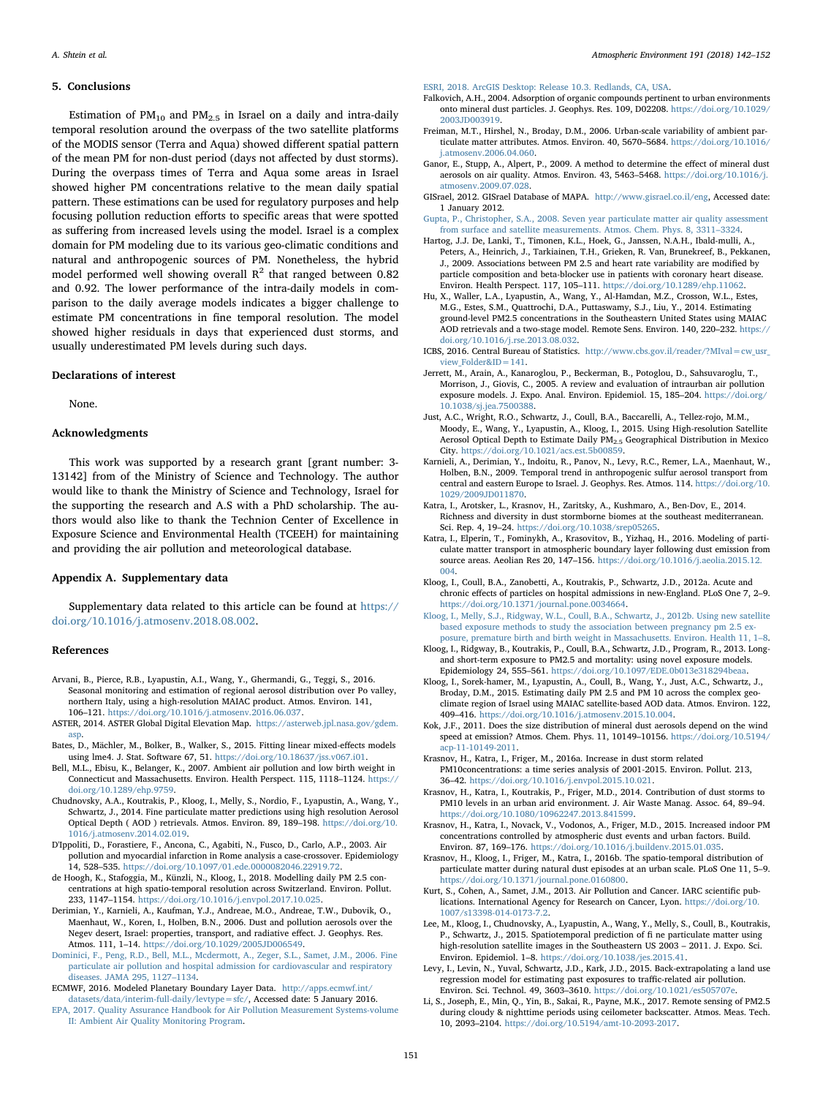#### 5. Conclusions

Estimation of  $PM_{10}$  and  $PM_{2.5}$  in Israel on a daily and intra-daily temporal resolution around the overpass of the two satellite platforms of the MODIS sensor (Terra and Aqua) showed different spatial pattern of the mean PM for non-dust period (days not affected by dust storms). During the overpass times of Terra and Aqua some areas in Israel showed higher PM concentrations relative to the mean daily spatial pattern. These estimations can be used for regulatory purposes and help focusing pollution reduction efforts to specific areas that were spotted as suffering from increased levels using the model. Israel is a complex domain for PM modeling due to its various geo-climatic conditions and natural and anthropogenic sources of PM. Nonetheless, the hybrid model performed well showing overall  $R^2$  that ranged between 0.82 and 0.92. The lower performance of the intra-daily models in comparison to the daily average models indicates a bigger challenge to estimate PM concentrations in fine temporal resolution. The model showed higher residuals in days that experienced dust storms, and usually underestimated PM levels during such days.

#### Declarations of interest

None.

# Acknowledgments

This work was supported by a research grant [grant number: 3- 13142] from of the Ministry of Science and Technology. The author would like to thank the Ministry of Science and Technology, Israel for the supporting the research and A.S with a PhD scholarship. The authors would also like to thank the Technion Center of Excellence in Exposure Science and Environmental Health (TCEEH) for maintaining and providing the air pollution and meteorological database.

# Appendix A. Supplementary data

Supplementary data related to this article can be found at [https://](https://doi.org/10.1016/j.atmosenv.2018.08.002) [doi.org/10.1016/j.atmosenv.2018.08.002.](https://doi.org/10.1016/j.atmosenv.2018.08.002)

#### References

- <span id="page-9-27"></span>Arvani, B., Pierce, R.B., Lyapustin, A.I., Wang, Y., Ghermandi, G., Teggi, S., 2016. Seasonal monitoring and estimation of regional aerosol distribution over Po valley, northern Italy, using a high-resolution MAIAC product. Atmos. Environ. 141, 106–121. <https://doi.org/10.1016/j.atmosenv.2016.06.037>.
- <span id="page-9-31"></span>ASTER, 2014. ASTER Global Digital Elevation Map. [https://asterweb.jpl.nasa.gov/gdem.](https://asterweb.jpl.nasa.gov/gdem.asp) [asp.](https://asterweb.jpl.nasa.gov/gdem.asp)
- <span id="page-9-35"></span>Bates, D., Mächler, M., Bolker, B., Walker, S., 2015. Fitting linear mixed-effects models using lme4. J. Stat. Software 67, 51. [https://doi.org/10.18637/jss.v067.i01.](https://doi.org/10.18637/jss.v067.i01)
- <span id="page-9-6"></span>Bell, M.L., Ebisu, K., Belanger, K., 2007. Ambient air pollution and low birth weight in Connecticut and Massachusetts. Environ. Health Perspect. 115, 1118–1124. [https://](https://doi.org/10.1289/ehp.9759) [doi.org/10.1289/ehp.9759.](https://doi.org/10.1289/ehp.9759)
- <span id="page-9-11"></span>Chudnovsky, A.A., Koutrakis, P., Kloog, I., Melly, S., Nordio, F., Lyapustin, A., Wang, Y., Schwartz, J., 2014. Fine particulate matter predictions using high resolution Aerosol Optical Depth ( AOD ) retrievals. Atmos. Environ. 89, 189–198. [https://doi.org/10.](https://doi.org/10.1016/j.atmosenv.2014.02.019) [1016/j.atmosenv.2014.02.019](https://doi.org/10.1016/j.atmosenv.2014.02.019).
- <span id="page-9-4"></span>D'Ippoliti, D., Forastiere, F., Ancona, C., Agabiti, N., Fusco, D., Carlo, A.P., 2003. Air pollution and myocardial infarction in Rome analysis a case-crossover. Epidemiology 14, 528–535. <https://doi.org/10.1097/01.ede.0000082046.22919.72>.
- <span id="page-9-12"></span>de Hoogh, K., Stafoggia, M., Künzli, N., Kloog, I., 2018. Modelling daily PM 2.5 concentrations at high spatio-temporal resolution across Switzerland. Environ. Pollut. 233, 1147–1154. <https://doi.org/10.1016/j.envpol.2017.10.025>.
- <span id="page-9-19"></span>Derimian, Y., Karnieli, A., Kaufman, Y.J., Andreae, M.O., Andreae, T.W., Dubovik, O., Maenhaut, W., Koren, I., Holben, B.N., 2006. Dust and pollution aerosols over the Negev desert, Israel: properties, transport, and radiative effect. J. Geophys. Res. Atmos. 111, 1–14. <https://doi.org/10.1029/2005JD006549>.
- <span id="page-9-0"></span>[Dominici, F., Peng, R.D., Bell, M.L., Mcdermott, A., Zeger, S.L., Samet, J.M., 2006. Fine](http://refhub.elsevier.com/S1352-2310(18)30519-3/sref9) [particulate air pollution and hospital admission for cardiovascular and respiratory](http://refhub.elsevier.com/S1352-2310(18)30519-3/sref9) [diseases. JAMA 295, 1127](http://refhub.elsevier.com/S1352-2310(18)30519-3/sref9)–1134.

<span id="page-9-34"></span><span id="page-9-26"></span>ECMWF, 2016. Modeled Planetary Boundary Layer Data. [http://apps.ecmwf.int/](http://apps.ecmwf.int/datasets/data/interim-full-daily/levtype=sfc/) [datasets/data/interim-full-daily/levtype=sfc/,](http://apps.ecmwf.int/datasets/data/interim-full-daily/levtype=sfc/) Accessed date: 5 January 2016. [EPA, 2017. Quality Assurance Handbook for Air Pollution Measurement Systems-volume](http://refhub.elsevier.com/S1352-2310(18)30519-3/sref11) [II: Ambient Air Quality Monitoring Program.](http://refhub.elsevier.com/S1352-2310(18)30519-3/sref11)

<span id="page-9-29"></span>[ESRI, 2018. ArcGIS Desktop: Release 10.3. Redlands, CA, USA](http://refhub.elsevier.com/S1352-2310(18)30519-3/sref12).

- <span id="page-9-24"></span>Falkovich, A.H., 2004. Adsorption of organic compounds pertinent to urban environments onto mineral dust particles. J. Geophys. Res. 109, D02208. [https://doi.org/10.1029/](https://doi.org/10.1029/2003JD003919) [2003JD003919.](https://doi.org/10.1029/2003JD003919)
- <span id="page-9-17"></span>Freiman, M.T., Hirshel, N., Broday, D.M., 2006. Urban-scale variability of ambient particulate matter attributes. Atmos. Environ. 40, 5670–5684. [https://doi.org/10.1016/](https://doi.org/10.1016/j.atmosenv.2006.04.060) [j.atmosenv.2006.04.060.](https://doi.org/10.1016/j.atmosenv.2006.04.060)
- <span id="page-9-21"></span>Ganor, E., Stupp, A., Alpert, P., 2009. A method to determine the effect of mineral dust aerosols on air quality. Atmos. Environ. 43, 5463–5468. [https://doi.org/10.1016/j.](https://doi.org/10.1016/j.atmosenv.2009.07.028) [atmosenv.2009.07.028](https://doi.org/10.1016/j.atmosenv.2009.07.028).
- <span id="page-9-32"></span>GISrael, 2012. GISrael Database of MAPA. [http://www.gisrael.co.il/eng,](http://www.gisrael.co.il/eng) Accessed date: 1 January 2012.
- <span id="page-9-10"></span>[Gupta, P., Christopher, S.A., 2008. Seven year particulate matter air quality assessment](http://refhub.elsevier.com/S1352-2310(18)30519-3/sref17) [from surface and satellite measurements. Atmos. Chem. Phys. 8, 3311](http://refhub.elsevier.com/S1352-2310(18)30519-3/sref17)–3324.
- <span id="page-9-5"></span>Hartog, J.J. De, Lanki, T., Timonen, K.L., Hoek, G., Janssen, N.A.H., Ibald-mulli, A., Peters, A., Heinrich, J., Tarkiainen, T.H., Grieken, R. Van, Brunekreef, B., Pekkanen, J., 2009. Associations between PM 2.5 and heart rate variability are modified by particle composition and beta-blocker use in patients with coronary heart disease. Environ. Health Perspect. 117, 105–111. <https://doi.org/10.1289/ehp.11062>.
- <span id="page-9-13"></span>Hu, X., Waller, L.A., Lyapustin, A., Wang, Y., Al-Hamdan, M.Z., Crosson, W.L., Estes, M.G., Estes, S.M., Quattrochi, D.A., Puttaswamy, S.J., Liu, Y., 2014. Estimating ground-level PM2.5 concentrations in the Southeastern United States using MAIAC AOD retrievals and a two-stage model. Remote Sens. Environ. 140, 220–232. [https://](https://doi.org/10.1016/j.rse.2013.08.032) [doi.org/10.1016/j.rse.2013.08.032.](https://doi.org/10.1016/j.rse.2013.08.032)
- <span id="page-9-30"></span>ICBS, 2016. Central Bureau of Statistics. [http://www.cbs.gov.il/reader/?MIval=cw\\_usr\\_](http://www.cbs.gov.il/reader/?MIval=cw_usr_view_Folder&ID=141) view Folder&ID=141.
- <span id="page-9-8"></span>Jerrett, M., Arain, A., Kanaroglou, P., Beckerman, B., Potoglou, D., Sahsuvaroglu, T., Morrison, J., Giovis, C., 2005. A review and evaluation of intraurban air pollution exposure models. J. Expo. Anal. Environ. Epidemiol. 15, 185–204. [https://doi.org/](https://doi.org/10.1038/sj.jea.7500388) [10.1038/sj.jea.7500388](https://doi.org/10.1038/sj.jea.7500388).
- <span id="page-9-28"></span>Just, A.C., Wright, R.O., Schwartz, J., Coull, B.A., Baccarelli, A., Tellez-rojo, M.M., Moody, E., Wang, Y., Lyapustin, A., Kloog, I., 2015. Using High-resolution Satellite Aerosol Optical Depth to Estimate Daily PM2.5 Geographical Distribution in Mexico City. [https://doi.org/10.1021/acs.est.5b00859.](https://doi.org/10.1021/acs.est.5b00859)
- <span id="page-9-20"></span>Karnieli, A., Derimian, Y., Indoitu, R., Panov, N., Levy, R.C., Remer, L.A., Maenhaut, W., Holben, B.N., 2009. Temporal trend in anthropogenic sulfur aerosol transport from central and eastern Europe to Israel. J. Geophys. Res. Atmos. 114. [https://doi.org/10.](https://doi.org/10.1029/2009JD011870) [1029/2009JD011870](https://doi.org/10.1029/2009JD011870).
- <span id="page-9-22"></span>Katra, I., Arotsker, L., Krasnov, H., Zaritsky, A., Kushmaro, A., Ben-Dov, E., 2014. Richness and diversity in dust stormborne biomes at the southeast mediterranean. Sci. Rep. 4, 19–24. [https://doi.org/10.1038/srep05265.](https://doi.org/10.1038/srep05265)
- <span id="page-9-23"></span>Katra, I., Elperin, T., Fominykh, A., Krasovitov, B., Yizhaq, H., 2016. Modeling of particulate matter transport in atmospheric boundary layer following dust emission from source areas. Aeolian Res 20, 147–156. [https://doi.org/10.1016/j.aeolia.2015.12.](https://doi.org/10.1016/j.aeolia.2015.12.004) [004](https://doi.org/10.1016/j.aeolia.2015.12.004).
- <span id="page-9-2"></span>Kloog, I., Coull, B.A., Zanobetti, A., Koutrakis, P., Schwartz, J.D., 2012a. Acute and chronic effects of particles on hospital admissions in new-England. PLoS One 7, 2–9. <https://doi.org/10.1371/journal.pone.0034664>.
- <span id="page-9-7"></span>[Kloog, I., Melly, S.J., Ridgway, W.L., Coull, B.A., Schwartz, J., 2012b. Using new satellite](http://refhub.elsevier.com/S1352-2310(18)30519-3/sref27) [based exposure methods to study the association between pregnancy pm 2.5 ex](http://refhub.elsevier.com/S1352-2310(18)30519-3/sref27)[posure, premature birth and birth weight in Massachusetts. Environ. Health 11, 1](http://refhub.elsevier.com/S1352-2310(18)30519-3/sref27)–8.
- <span id="page-9-1"></span>Kloog, I., Ridgway, B., Koutrakis, P., Coull, B.A., Schwartz, J.D., Program, R., 2013. Longand short-term exposure to PM2.5 and mortality: using novel exposure models. Epidemiology 24, 555–561. <https://doi.org/10.1097/EDE.0b013e318294beaa>.
- <span id="page-9-14"></span>Kloog, I., Sorek-hamer, M., Lyapustin, A., Coull, B., Wang, Y., Just, A.C., Schwartz, J., Broday, D.M., 2015. Estimating daily PM 2.5 and PM 10 across the complex geoclimate region of Israel using MAIAC satellite-based AOD data. Atmos. Environ. 122, 409–416. <https://doi.org/10.1016/j.atmosenv.2015.10.004>.
- <span id="page-9-16"></span>Kok, J.F., 2011. Does the size distribution of mineral dust aerosols depend on the wind speed at emission? Atmos. Chem. Phys. 11, 10149–10156. [https://doi.org/10.5194/](https://doi.org/10.5194/acp-11-10149-2011) [acp-11-10149-2011.](https://doi.org/10.5194/acp-11-10149-2011)
- <span id="page-9-36"></span>Krasnov, H., Katra, I., Friger, M., 2016a. Increase in dust storm related PM10concentrations: a time series analysis of 2001-2015. Environ. Pollut. 213, 36–42. <https://doi.org/10.1016/j.envpol.2015.10.021>.
- <span id="page-9-25"></span>Krasnov, H., Katra, I., Koutrakis, P., Friger, M.D., 2014. Contribution of dust storms to PM10 levels in an urban arid environment. J. Air Waste Manag. Assoc. 64, 89–94. [https://doi.org/10.1080/10962247.2013.841599.](https://doi.org/10.1080/10962247.2013.841599)
- <span id="page-9-37"></span>Krasnov, H., Katra, I., Novack, V., Vodonos, A., Friger, M.D., 2015. Increased indoor PM concentrations controlled by atmospheric dust events and urban factors. Build. Environ. 87, 169–176. <https://doi.org/10.1016/j.buildenv.2015.01.035>.
- <span id="page-9-18"></span>Krasnov, H., Kloog, I., Friger, M., Katra, I., 2016b. The spatio-temporal distribution of particulate matter during natural dust episodes at an urban scale. PLoS One 11, 5–9. <https://doi.org/10.1371/journal.pone.0160800>.
- <span id="page-9-3"></span>Kurt, S., Cohen, A., Samet, J.M., 2013. Air Pollution and Cancer. IARC scientific publications. International Agency for Research on Cancer, Lyon. [https://doi.org/10.](https://doi.org/10.1007/s13398-014-0173-7.2) [1007/s13398-014-0173-7.2.](https://doi.org/10.1007/s13398-014-0173-7.2)
- <span id="page-9-15"></span>Lee, M., Kloog, I., Chudnovsky, A., Lyapustin, A., Wang, Y., Melly, S., Coull, B., Koutrakis, P., Schwartz, J., 2015. Spatiotemporal prediction of fi ne particulate matter using high-resolution satellite images in the Southeastern US 2003 – 2011. J. Expo. Sci. Environ. Epidemiol. 1–8. [https://doi.org/10.1038/jes.2015.41.](https://doi.org/10.1038/jes.2015.41)
- <span id="page-9-33"></span>Levy, I., Levin, N., Yuval, Schwartz, J.D., Kark, J.D., 2015. Back-extrapolating a land use regression model for estimating past exposures to traffic-related air pollution. Environ. Sci. Technol. 49, 3603–3610. <https://doi.org/10.1021/es505707e>.
- <span id="page-9-9"></span>Li, S., Joseph, E., Min, Q., Yin, B., Sakai, R., Payne, M.K., 2017. Remote sensing of PM2.5 during cloudy & nighttime periods using ceilometer backscatter. Atmos. Meas. Tech. 10, 2093–2104. <https://doi.org/10.5194/amt-10-2093-2017>.